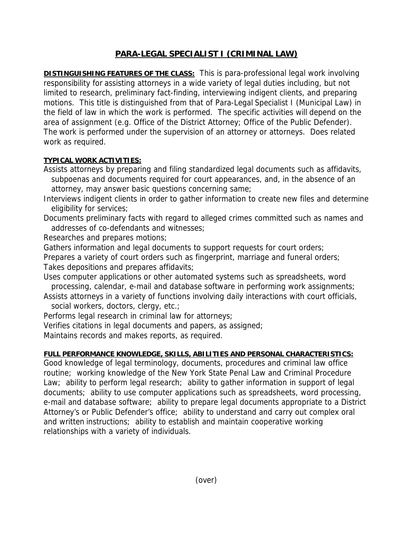## **PARA-LEGAL SPECIALIST I (CRIMINAL LAW)**

**DISTINGUISHING FEATURES OF THE CLASS:** This is para-professional legal work involving responsibility for assisting attorneys in a wide variety of legal duties including, but not limited to research, preliminary fact-finding, interviewing indigent clients, and preparing motions. This title is distinguished from that of Para-Legal Specialist I (Municipal Law) in the field of law in which the work is performed. The specific activities will depend on the area of assignment (e.g. Office of the District Attorney; Office of the Public Defender). The work is performed under the supervision of an attorney or attorneys. Does related work as required.

## **TYPICAL WORK ACTIVITIES:**

Assists attorneys by preparing and filing standardized legal documents such as affidavits, subpoenas and documents required for court appearances, and, in the absence of an attorney, may answer basic questions concerning same;

Interviews indigent clients in order to gather information to create new files and determine eligibility for services;

Documents preliminary facts with regard to alleged crimes committed such as names and addresses of co-defendants and witnesses;

Researches and prepares motions;

Gathers information and legal documents to support requests for court orders;

Prepares a variety of court orders such as fingerprint, marriage and funeral orders; Takes depositions and prepares affidavits;

Uses computer applications or other automated systems such as spreadsheets, word processing, calendar, e-mail and database software in performing work assignments;

Assists attorneys in a variety of functions involving daily interactions with court officials, social workers, doctors, clergy, etc.;

Performs legal research in criminal law for attorneys;

Verifies citations in legal documents and papers, as assigned;

Maintains records and makes reports, as required.

## **FULL PERFORMANCE KNOWLEDGE, SKILLS, ABILITIES AND PERSONAL CHARACTERISTICS:**

Good knowledge of legal terminology, documents, procedures and criminal law office routine; working knowledge of the New York State Penal Law and Criminal Procedure Law; ability to perform legal research; ability to gather information in support of legal documents; ability to use computer applications such as spreadsheets, word processing, e-mail and database software; ability to prepare legal documents appropriate to a District Attorney's or Public Defender's office; ability to understand and carry out complex oral and written instructions; ability to establish and maintain cooperative working relationships with a variety of individuals.